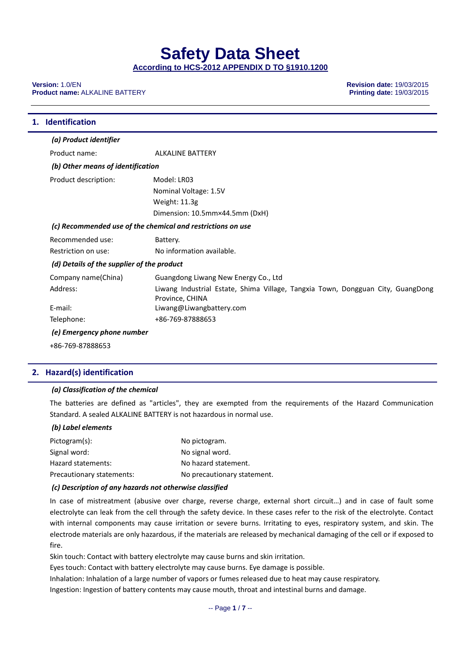**Safety Data Sheet** 

**According to HCS-2012 APPENDIX D TO §1910.1200**

**Version:** 1.0/EN **Revision date:** 19/03/2015 **Product name:** ALKALINE BATTERY

| <b>Identification</b>                      |                                                                                                    |
|--------------------------------------------|----------------------------------------------------------------------------------------------------|
| (a) Product identifier                     |                                                                                                    |
| Product name:                              | <b>ALKALINE BATTERY</b>                                                                            |
| (b) Other means of identification          |                                                                                                    |
| Product description:                       | Model: LR03                                                                                        |
|                                            | Nominal Voltage: 1.5V                                                                              |
|                                            | Weight: 11.3g                                                                                      |
|                                            | Dimension: 10.5mm×44.5mm (DxH)                                                                     |
|                                            | (c) Recommended use of the chemical and restrictions on use                                        |
| Recommended use:                           | Battery.                                                                                           |
| Restriction on use:                        | No information available.                                                                          |
| (d) Details of the supplier of the product |                                                                                                    |
| Company name(China)                        | Guangdong Liwang New Energy Co., Ltd                                                               |
| Address:                                   | Liwang Industrial Estate, Shima Village, Tangxia Town, Dongguan City, GuangDong<br>Province, CHINA |
| E-mail:                                    | Liwang@Liwangbattery.com                                                                           |
| Telephone:                                 | +86-769-87888653                                                                                   |
| (e) Emergency phone number                 |                                                                                                    |

+86‐769‐87888653

#### **2. Hazard(s) identification**

#### *(a) Classification of the chemical*

The batteries are defined as "articles", they are exempted from the requirements of the Hazard Communication Standard. A sealed ALKALINE BATTERY is not hazardous in normal use.

#### *(b) Label elements*

| Pictogram(s):             | No pictogram.               |
|---------------------------|-----------------------------|
| Signal word:              | No signal word.             |
| Hazard statements:        | No hazard statement.        |
| Precautionary statements: | No precautionary statement. |

#### *(c) Description of any hazards not otherwise classified*

In case of mistreatment (abusive over charge, reverse charge, external short circuit…) and in case of fault some electrolyte can leak from the cell through the safety device. In these cases refer to the risk of the electrolyte. Contact with internal components may cause irritation or severe burns. Irritating to eyes, respiratory system, and skin. The electrode materials are only hazardous, if the materials are released by mechanical damaging of the cell or if exposed to fire.

Skin touch: Contact with battery electrolyte may cause burns and skin irritation.

Eyes touch: Contact with battery electrolyte may cause burns. Eye damage is possible.

Inhalation: Inhalation of a large number of vapors or fumes released due to heat may cause respiratory.

Ingestion: Ingestion of battery contents may cause mouth, throat and intestinal burns and damage.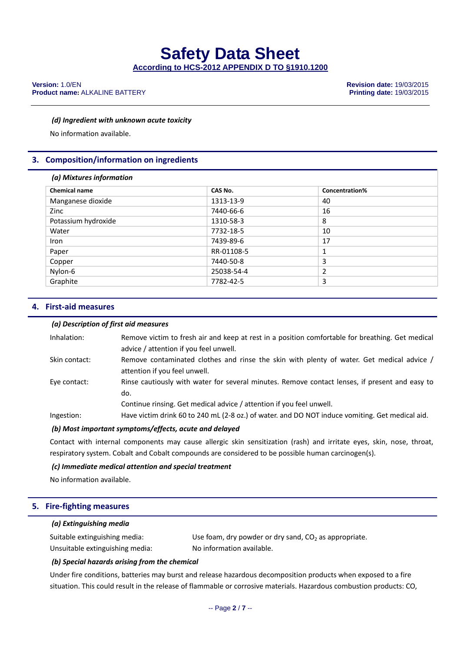#### *(d) Ingredient with unknown acute toxicity*

No information available.

#### **3. Composition/information on ingredients**

#### *(a) Mixtures information*

| <b>Chemical name</b> | CAS No.    | <b>Concentration%</b> |
|----------------------|------------|-----------------------|
| Manganese dioxide    | 1313-13-9  | 40                    |
| Zinc                 | 7440-66-6  | 16                    |
| Potassium hydroxide  | 1310-58-3  | 8                     |
| Water                | 7732-18-5  | 10                    |
| Iron                 | 7439-89-6  | 17                    |
| Paper                | RR-01108-5 | 1                     |
| Copper               | 7440-50-8  | 3                     |
| Nylon-6              | 25038-54-4 |                       |
| Graphite             | 7782-42-5  | 3                     |

#### **4. First‐aid measures**

#### *(a) Description of first aid measures*

| Inhalation:   | Remove victim to fresh air and keep at rest in a position comfortable for breathing. Get medical<br>advice / attention if you feel unwell.                                    |
|---------------|-------------------------------------------------------------------------------------------------------------------------------------------------------------------------------|
| Skin contact: | Remove contaminated clothes and rinse the skin with plenty of water. Get medical advice /<br>attention if you feel unwell.                                                    |
| Eye contact:  | Rinse cautiously with water for several minutes. Remove contact lenses, if present and easy to<br>do.<br>Continue rinsing. Get medical advice / attention if you feel unwell. |
| Ingestion:    | Have victim drink 60 to 240 mL (2-8 oz.) of water, and DO NOT induce vomiting. Get medical aid.                                                                               |

#### *(b) Most important symptoms/effects, acute and delayed*

Contact with internal components may cause allergic skin sensitization (rash) and irritate eyes, skin, nose, throat, respiratory system. Cobalt and Cobalt compounds are considered to be possible human carcinogen(s).

#### *(c) Immediate medical attention and special treatment*

No information available.

#### **5. Fire‐fighting measures**

#### *(a) Extinguishing media*

| Suitable extinguishing media:   | Use foam, dry powder or dry sand, $CO2$ as appropriate. |
|---------------------------------|---------------------------------------------------------|
| Unsuitable extinguishing media: | No information available.                               |

#### *(b) Special hazards arising from the chemical*

Under fire conditions, batteries may burst and release hazardous decomposition products when exposed to a fire situation. This could result in the release of flammable or corrosive materials. Hazardous combustion products: CO,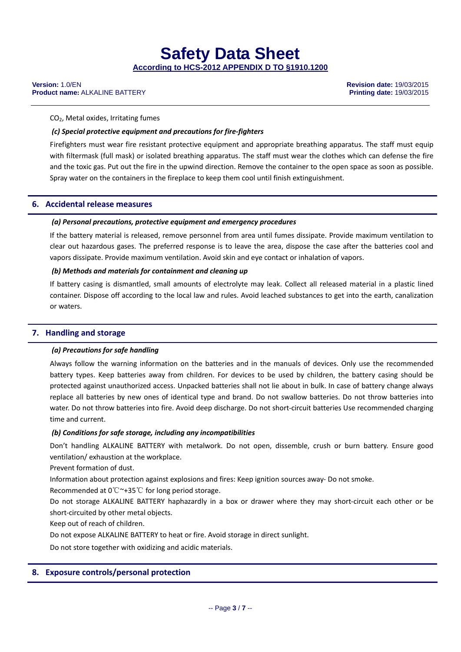#### **Version:** 1.0/EN **Revision date:** 19/03/2015 **Product name:** ALKALINE BATTERY

#### CO2, Metal oxides, Irritating fumes

#### *(c) Special protective equipment and precautions for fire‐fighters*

Firefighters must wear fire resistant protective equipment and appropriate breathing apparatus. The staff must equip with filtermask (full mask) or isolated breathing apparatus. The staff must wear the clothes which can defense the fire and the toxic gas. Put out the fire in the upwind direction. Remove the container to the open space as soon as possible. Spray water on the containers in the fireplace to keep them cool until finish extinguishment.

#### **6. Accidental release measures**

#### *(a) Personal precautions, protective equipment and emergency procedures*

If the battery material is released, remove personnel from area until fumes dissipate. Provide maximum ventilation to clear out hazardous gases. The preferred response is to leave the area, dispose the case after the batteries cool and vapors dissipate. Provide maximum ventilation. Avoid skin and eye contact or inhalation of vapors.

#### *(b) Methods and materials for containment and cleaning up*

If battery casing is dismantled, small amounts of electrolyte may leak. Collect all released material in a plastic lined container. Dispose off according to the local law and rules. Avoid leached substances to get into the earth, canalization or waters.

#### **7. Handling and storage**

#### *(a) Precautions for safe handling*

Always follow the warning information on the batteries and in the manuals of devices. Only use the recommended battery types. Keep batteries away from children. For devices to be used by children, the battery casing should be protected against unauthorized access. Unpacked batteries shall not lie about in bulk. In case of battery change always replace all batteries by new ones of identical type and brand. Do not swallow batteries. Do not throw batteries into water. Do not throw batteries into fire. Avoid deep discharge. Do not short-circuit batteries Use recommended charging time and current.

#### *(b) Conditions for safe storage, including any incompatibilities*

Don't handling ALKALINE BATTERY with metalwork. Do not open, dissemble, crush or burn battery. Ensure good ventilation/ exhaustion at the workplace.

Prevent formation of dust.

Information about protection against explosions and fires: Keep ignition sources away‐ Do not smoke.

Recommended at  $0^\circ \text{C} \sim +35^\circ \text{C}$  for long period storage.

Do not storage ALKALINE BATTERY haphazardly in a box or drawer where they may short‐circuit each other or be short‐circuited by other metal objects.

Keep out of reach of children.

Do not expose ALKALINE BATTERY to heat or fire. Avoid storage in direct sunlight.

Do not store together with oxidizing and acidic materials.

#### **8. Exposure controls/personal protection**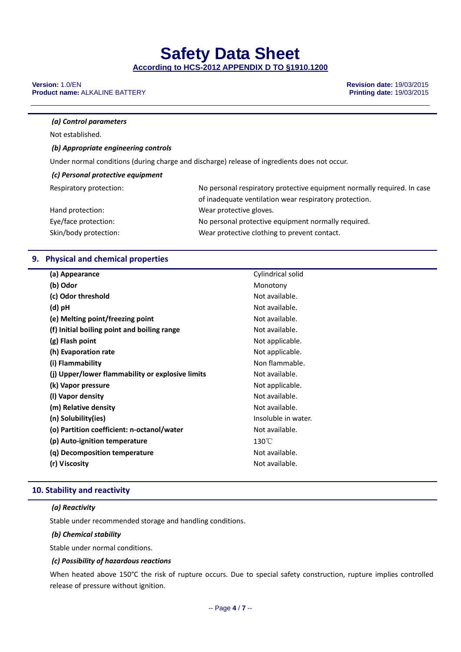# **Safety Data Sheet**

**According to HCS-2012 APPENDIX D TO §1910.1200**

#### **Version:** 1.0/EN **Revision date:** 19/03/2015 **Product name: ALKALINE BATTERY**

#### *(a) Control parameters*

Not established.

#### *(b) Appropriate engineering controls*

Under normal conditions (during charge and discharge) release of ingredients does not occur.

#### *(c) Personal protective equipment*

| Respiratory protection: | No personal respiratory protective equipment normally required. In case |
|-------------------------|-------------------------------------------------------------------------|
|                         | of inadequate ventilation wear respiratory protection.                  |
| Hand protection:        | Wear protective gloves.                                                 |
| Eye/face protection:    | No personal protective equipment normally required.                     |
| Skin/body protection:   | Wear protective clothing to prevent contact.                            |

#### **9. Physical and chemical properties**

| (a) Appearance                                   | Cylindrical solid   |
|--------------------------------------------------|---------------------|
| (b) Odor                                         | Monotony            |
| (c) Odor threshold                               | Not available.      |
| (d) pH                                           | Not available.      |
| (e) Melting point/freezing point                 | Not available.      |
| (f) Initial boiling point and boiling range      | Not available.      |
| (g) Flash point                                  | Not applicable.     |
| (h) Evaporation rate                             | Not applicable.     |
| (i) Flammability                                 | Non flammable.      |
| (j) Upper/lower flammability or explosive limits | Not available.      |
| (k) Vapor pressure                               | Not applicable.     |
| (I) Vapor density                                | Not available.      |
| (m) Relative density                             | Not available.      |
| (n) Solubility(ies)                              | Insoluble in water. |
| (o) Partition coefficient: n-octanol/water       | Not available.      |
| (p) Auto-ignition temperature                    | $130^{\circ}$ C     |
| (g) Decomposition temperature                    | Not available.      |
| (r) Viscosity                                    | Not available.      |
|                                                  |                     |

#### **10. Stability and reactivity**

#### *(a) Reactivity*

Stable under recommended storage and handling conditions.

#### *(b) Chemical stability*

Stable under normal conditions.

#### *(c) Possibility of hazardous reactions*

When heated above 150°C the risk of rupture occurs. Due to special safety construction, rupture implies controlled release of pressure without ignition.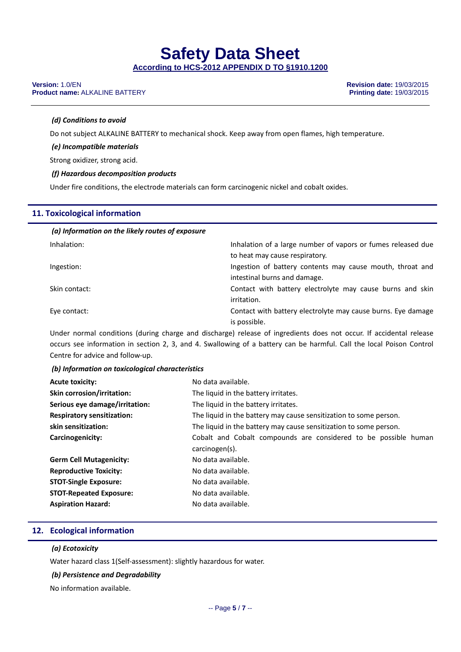# **Safety Data Sheet**

**According to HCS-2012 APPENDIX D TO §1910.1200**

#### **Version:** 1.0/EN **Revision date:** 19/03/2015 **Product name: ALKALINE BATTERY**

#### *(d) Conditions to avoid*

Do not subject ALKALINE BATTERY to mechanical shock. Keep away from open flames, high temperature.

*(e) Incompatible materials*

Strong oxidizer, strong acid.

#### *(f) Hazardous decomposition products*

Under fire conditions, the electrode materials can form carcinogenic nickel and cobalt oxides.

#### **11. Toxicological information**

| (a) Information on the likely routes of exposure |                                                              |
|--------------------------------------------------|--------------------------------------------------------------|
| Inhalation:                                      | Inhalation of a large number of vapors or fumes released due |
|                                                  | to heat may cause respiratory.                               |
| Ingestion:                                       | Ingestion of battery contents may cause mouth, throat and    |
|                                                  | intestinal burns and damage.                                 |
| Skin contact:                                    | Contact with battery electrolyte may cause burns and skin    |
|                                                  | irritation.                                                  |
| Eye contact:                                     | Contact with battery electrolyte may cause burns. Eye damage |
|                                                  | is possible.                                                 |

Under normal conditions (during charge and discharge) release of ingredients does not occur. If accidental release occurs see information in section 2, 3, and 4. Swallowing of a battery can be harmful. Call the local Poison Control Centre for advice and follow‐up.

#### *(b) Information on toxicological characteristics*

| <b>Acute toxicity:</b>            | No data available.                                                |  |  |  |
|-----------------------------------|-------------------------------------------------------------------|--|--|--|
| <b>Skin corrosion/irritation:</b> | The liquid in the battery irritates.                              |  |  |  |
| Serious eye damage/irritation:    | The liquid in the battery irritates.                              |  |  |  |
| <b>Respiratory sensitization:</b> | The liquid in the battery may cause sensitization to some person. |  |  |  |
| skin sensitization:               | The liquid in the battery may cause sensitization to some person. |  |  |  |
| Carcinogenicity:                  | Cobalt and Cobalt compounds are considered to be possible human   |  |  |  |
|                                   | carcinogen(s).                                                    |  |  |  |
| <b>Germ Cell Mutagenicity:</b>    | No data available.                                                |  |  |  |
| <b>Reproductive Toxicity:</b>     | No data available.                                                |  |  |  |
| <b>STOT-Single Exposure:</b>      | No data available.                                                |  |  |  |
| <b>STOT-Repeated Exposure:</b>    | No data available.                                                |  |  |  |
| <b>Aspiration Hazard:</b>         | No data available.                                                |  |  |  |

#### **12. Ecological information**

#### *(a) Ecotoxicity*

Water hazard class 1(Self‐assessment): slightly hazardous for water.

#### *(b) Persistence and Degradability*

No information available.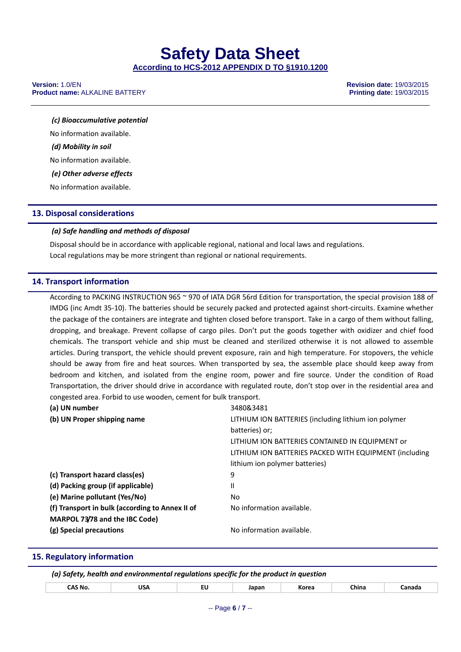#### **Version:** 1.0/EN **Revision date:** 19/03/2015 **Product name:** ALKALINE BATTERY

*(c) Bioaccumulative potential* No information available. *(d) Mobility in soil* No information available. *(e) Other adverse effects* No information available.

#### **13. Disposal considerations**

#### *(a) Safe handling and methods of disposal*

Disposal should be in accordance with applicable regional, national and local laws and regulations. Local regulations may be more stringent than regional or national requirements.

#### **14. Transport information**

According to PACKING INSTRUCTION 965 ~ 970 of IATA DGR 56rd Edition for transportation, the special provision 188 of IMDG (inc Amdt 35‐10). The batteries should be securely packed and protected against short‐circuits. Examine whether the package of the containers are integrate and tighten closed before transport. Take in a cargo of them without falling, dropping, and breakage. Prevent collapse of cargo piles. Don't put the goods together with oxidizer and chief food chemicals. The transport vehicle and ship must be cleaned and sterilized otherwise it is not allowed to assemble articles. During transport, the vehicle should prevent exposure, rain and high temperature. For stopovers, the vehicle should be away from fire and heat sources. When transported by sea, the assemble place should keep away from bedroom and kitchen, and isolated from the engine room, power and fire source. Under the condition of Road Transportation, the driver should drive in accordance with regulated route, don't stop over in the residential area and congested area. Forbid to use wooden, cement for bulk transport.

| (a) UN number                                   | 3480&3481                                              |
|-------------------------------------------------|--------------------------------------------------------|
| (b) UN Proper shipping name                     | LITHIUM ION BATTERIES (including lithium ion polymer   |
|                                                 | batteries) or:                                         |
|                                                 | LITHIUM ION BATTERIES CONTAINED IN EQUIPMENT or        |
|                                                 | LITHIUM ION BATTERIES PACKED WITH EQUIPMENT (including |
|                                                 | lithium ion polymer batteries)                         |
| (c) Transport hazard class(es)                  | 9                                                      |
| (d) Packing group (if applicable)               | Ш                                                      |
| (e) Marine pollutant (Yes/No)                   | No                                                     |
| (f) Transport in bulk (according to Annex II of | No information available.                              |
| MARPOL 73/78 and the IBC Code)                  |                                                        |
| (g) Special precautions                         | No information available.                              |

#### **15. Regulatory information**

| (a) Safety, health and environmental regulations specific for the product in question |     |    |       |       |       |        |
|---------------------------------------------------------------------------------------|-----|----|-------|-------|-------|--------|
| CAS No.                                                                               | USA | ΕU | Japan | Korea | China | ∵anada |
|                                                                                       |     |    |       |       |       |        |